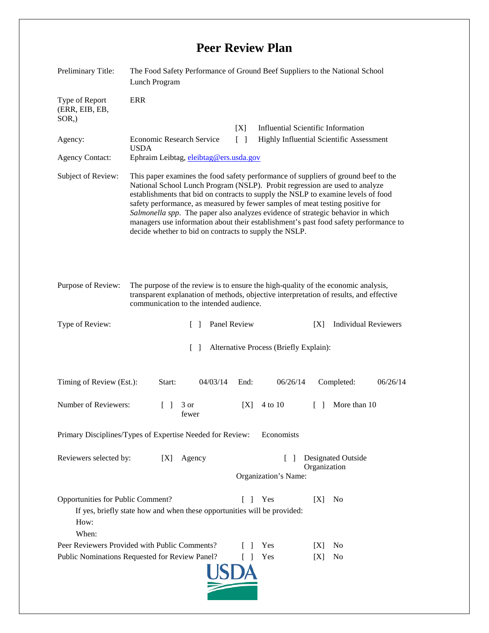## **Peer Review Plan**

| Preliminary Title:                                                                                                                                                          | The Food Safety Performance of Ground Beef Suppliers to the National School<br>Lunch Program                                                                                                                                                                                                                                                                                                                                                                                                                                                                                 |              |                                                                        |        |                             |  |
|-----------------------------------------------------------------------------------------------------------------------------------------------------------------------------|------------------------------------------------------------------------------------------------------------------------------------------------------------------------------------------------------------------------------------------------------------------------------------------------------------------------------------------------------------------------------------------------------------------------------------------------------------------------------------------------------------------------------------------------------------------------------|--------------|------------------------------------------------------------------------|--------|-----------------------------|--|
| Type of Report<br>(ERR, EIB, EB,<br>$SOR$ <sub>,</sub> )                                                                                                                    | <b>ERR</b>                                                                                                                                                                                                                                                                                                                                                                                                                                                                                                                                                                   |              |                                                                        |        |                             |  |
|                                                                                                                                                                             |                                                                                                                                                                                                                                                                                                                                                                                                                                                                                                                                                                              | [X]          | Influential Scientific Information                                     |        |                             |  |
| Agency:                                                                                                                                                                     | <b>Economic Research Service</b><br>Highly Influential Scientific Assessment<br>$\Box$<br><b>USDA</b>                                                                                                                                                                                                                                                                                                                                                                                                                                                                        |              |                                                                        |        |                             |  |
| <b>Agency Contact:</b>                                                                                                                                                      | Ephraim Leibtag, eleibtag@ers.usda.gov                                                                                                                                                                                                                                                                                                                                                                                                                                                                                                                                       |              |                                                                        |        |                             |  |
| Subject of Review:                                                                                                                                                          | This paper examines the food safety performance of suppliers of ground beef to the<br>National School Lunch Program (NSLP). Probit regression are used to analyze<br>establishments that bid on contracts to supply the NSLP to examine levels of food<br>safety performance, as measured by fewer samples of meat testing positive for<br>Salmonella spp. The paper also analyzes evidence of strategic behavior in which<br>managers use information about their establishment's past food safety performance to<br>decide whether to bid on contracts to supply the NSLP. |              |                                                                        |        |                             |  |
| Purpose of Review:                                                                                                                                                          | The purpose of the review is to ensure the high-quality of the economic analysis,<br>transparent explanation of methods, objective interpretation of results, and effective<br>communication to the intended audience.                                                                                                                                                                                                                                                                                                                                                       |              |                                                                        |        |                             |  |
| Type of Review:                                                                                                                                                             | $\Box$                                                                                                                                                                                                                                                                                                                                                                                                                                                                                                                                                                       | Panel Review |                                                                        | [X]    | <b>Individual Reviewers</b> |  |
| Alternative Process (Briefly Explain):<br>$\Box$                                                                                                                            |                                                                                                                                                                                                                                                                                                                                                                                                                                                                                                                                                                              |              |                                                                        |        |                             |  |
| Timing of Review (Est.):                                                                                                                                                    | Start:<br>04/03/14                                                                                                                                                                                                                                                                                                                                                                                                                                                                                                                                                           | End:         | 06/26/14                                                               |        | Completed:<br>06/26/14      |  |
| Number of Reviewers:                                                                                                                                                        | 3 or<br>$\Box$<br>fewer                                                                                                                                                                                                                                                                                                                                                                                                                                                                                                                                                      | [X]          | 4 to 10                                                                | $\Box$ | More than 10                |  |
| Primary Disciplines/Types of Expertise Needed for Review:<br>Economists                                                                                                     |                                                                                                                                                                                                                                                                                                                                                                                                                                                                                                                                                                              |              |                                                                        |        |                             |  |
| Reviewers selected by:<br>Agency<br>[X]                                                                                                                                     |                                                                                                                                                                                                                                                                                                                                                                                                                                                                                                                                                                              |              | <b>Designated Outside</b><br>L<br>Organization<br>Organization's Name: |        |                             |  |
| Opportunities for Public Comment?<br>Yes<br>[X]<br>N <sub>0</sub><br>f.<br>- 1<br>If yes, briefly state how and when these opportunities will be provided:<br>How:<br>When: |                                                                                                                                                                                                                                                                                                                                                                                                                                                                                                                                                                              |              |                                                                        |        |                             |  |
| Peer Reviewers Provided with Public Comments?                                                                                                                               |                                                                                                                                                                                                                                                                                                                                                                                                                                                                                                                                                                              |              | Yes                                                                    | X      | N <sub>0</sub>              |  |
| Public Nominations Requested for Review Panel?<br>L<br>Yes<br>N <sub>0</sub><br>-1<br>IXI                                                                                   |                                                                                                                                                                                                                                                                                                                                                                                                                                                                                                                                                                              |              |                                                                        |        |                             |  |